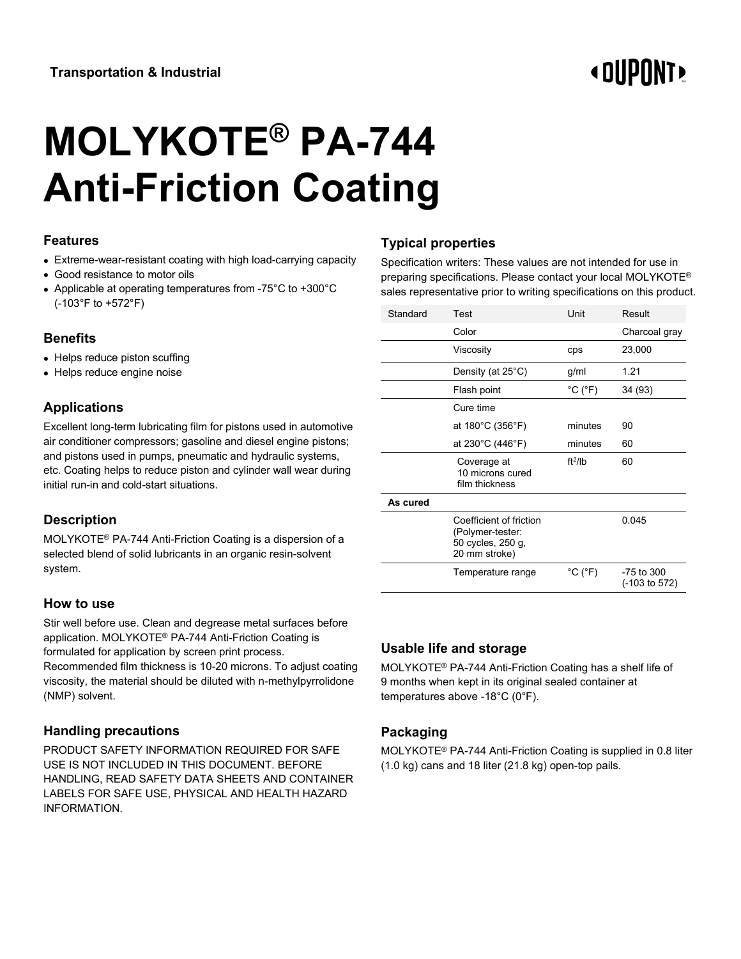# **MOLYKOTE® PA-744 Anti-Friction Coating**

#### **Features**

- Extreme-wear-resistant coating with high load-carrying capacity
- Good resistance to motor oils
- Applicable at operating temperatures from -75°C to +300°C (-103°F to +572°F)

## **Benefits**

- Helps reduce piston scuffing
- Helps reduce engine noise

# **Applications**

Excellent long-term lubricating film for pistons used in automotive air conditioner compressors; gasoline and diesel engine pistons; and pistons used in pumps, pneumatic and hydraulic systems, etc. Coating helps to reduce piston and cylinder wall wear during initial run-in and cold-start situations.

# **Description**

MOLYKOTE® PA-744 Anti-Friction Coating is a dispersion of a selected blend of solid lubricants in an organic resin-solvent system.

#### **How to use**

Stir well before use. Clean and degrease metal surfaces before application. MOLYKOTE® PA-744 Anti-Friction Coating is formulated for application by screen print process. Recommended film thickness is 10-20 microns. To adjust coating viscosity, the material should be diluted with n-methylpyrrolidone (NMP) solvent.

#### **Handling precautions**

PRODUCT SAFETY INFORMATION REQUIRED FOR SAFE USE IS NOT INCLUDED IN THIS DOCUMENT. BEFORE HANDLING, READ SAFETY DATA SHEETS AND CONTAINER LABELS FOR SAFE USE, PHYSICAL AND HEALTH HAZARD INFORMATION.

## **Typical properties**

Specification writers: These values are not intended for use in preparing specifications. Please contact your local MOLYKOTE® sales representative prior to writing specifications on this product.

| Standard | Test                                                                              | Unit                         | Result        |
|----------|-----------------------------------------------------------------------------------|------------------------------|---------------|
|          | Color                                                                             |                              | Charcoal gray |
|          | Viscosity                                                                         | cps                          | 23,000        |
|          | Density (at 25°C)                                                                 | g/ml                         | 1.21          |
|          | Flash point                                                                       | $^{\circ}$ C ( $^{\circ}$ F) | 34 (93)       |
|          | Cure time                                                                         |                              |               |
|          | at 180°C (356°F)                                                                  | minutes                      | 90            |
|          | at 230°C (446°F)                                                                  | minutes                      | 60            |
|          | Coverage at<br>10 microns cured<br>film thickness                                 | $ft^2$ /lb                   | 60            |
| As cured |                                                                                   |                              |               |
|          | Coefficient of friction<br>(Polymer-tester:<br>50 cycles, 250 g,<br>20 mm stroke) |                              | 0.045         |
|          | Temperature range                                                                 | $^{\circ}$ C ( $^{\circ}$ F) | -75 to 300    |

#### **Usable life and storage**

MOLYKOTE® PA-744 Anti-Friction Coating has a shelf life of 9 months when kept in its original sealed container at temperatures above -18°C (0°F).

#### **Packaging**

MOLYKOTE® PA-744 Anti-Friction Coating is supplied in 0.8 liter (1.0 kg) cans and 18 liter (21.8 kg) open-top pails.

# **«OUPONT»**